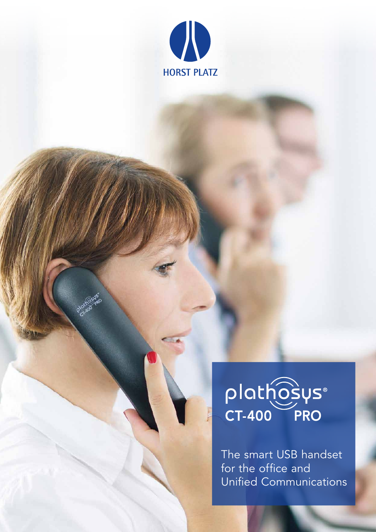



 $\overline{ }$ 

The smart USB handset for the office and Unified Communications